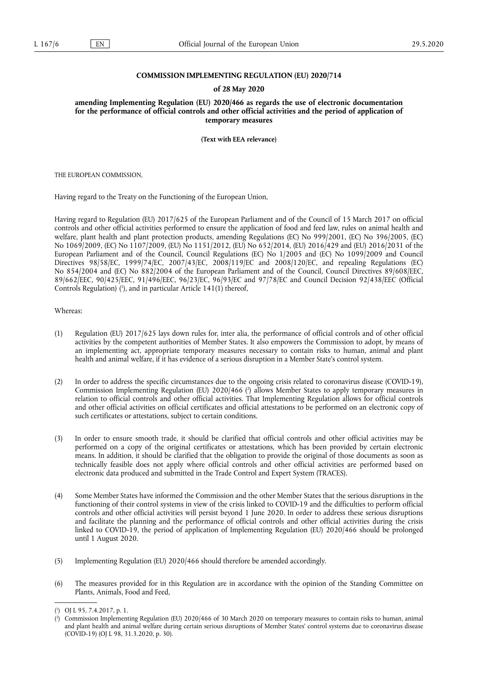## **COMMISSION IMPLEMENTING REGULATION (EU) 2020/714**

#### **of 28 May 2020**

**amending Implementing Regulation (EU) 2020/466 as regards the use of electronic documentation for the performance of official controls and other official activities and the period of application of temporary measures** 

**(Text with EEA relevance)** 

THE EUROPEAN COMMISSION,

Having regard to the Treaty on the Functioning of the European Union,

Having regard to Regulation (EU) 2017/625 of the European Parliament and of the Council of 15 March 2017 on official controls and other official activities performed to ensure the application of food and feed law, rules on animal health and welfare, plant health and plant protection products, amending Regulations (EC) No 999/2001, (EC) No 396/2005, (EC) No 1069/2009, (EC) No 1107/2009, (EU) No 1151/2012, (EU) No 652/2014, (EU) 2016/429 and (EU) 2016/2031 of the European Parliament and of the Council, Council Regulations (EC) No 1/2005 and (EC) No 1099/2009 and Council Directives 98/58/EC, 1999/74/EC, 2007/43/EC, 2008/119/EC and 2008/120/EC, and repealing Regulations (EC) No 854/2004 and (EC) No 882/2004 of the European Parliament and of the Council, Council Directives 89/608/EEC, 89/662/EEC, 90/425/EEC, 91/496/EEC, 96/23/EC, 96/93/EC and 97/78/EC and Council Decision 92/438/EEC (Official Controls Regulation) [\(](#page-0-0)1), and in particular Article 141(1) thereof,

# <span id="page-0-2"></span>Whereas:

- (1) Regulation (EU) 2017/625 lays down rules for, inter alia, the performance of official controls and of other official activities by the competent authorities of Member States. It also empowers the Commission to adopt, by means of an implementing act, appropriate temporary measures necessary to contain risks to human, animal and plant health and animal welfare, if it has evidence of a serious disruption in a Member State's control system.
- <span id="page-0-3"></span>(2) In order to address the specific circumstances due to the ongoing crisis related to coronavirus disease (COVID-19), Commission Implementing Regulation (EU) 2020/466 [\(](#page-0-1) 2 ) allows Member States to apply temporary measures in relation to official controls and other official activities. That Implementing Regulation allows for official controls and other official activities on official certificates and official attestations to be performed on an electronic copy of such certificates or attestations, subject to certain conditions.
- (3) In order to ensure smooth trade, it should be clarified that official controls and other official activities may be performed on a copy of the original certificates or attestations, which has been provided by certain electronic means. In addition, it should be clarified that the obligation to provide the original of those documents as soon as technically feasible does not apply where official controls and other official activities are performed based on electronic data produced and submitted in the Trade Control and Expert System (TRACES).
- (4) Some Member States have informed the Commission and the other Member States that the serious disruptions in the functioning of their control systems in view of the crisis linked to COVID-19 and the difficulties to perform official controls and other official activities will persist beyond 1 June 2020. In order to address these serious disruptions and facilitate the planning and the performance of official controls and other official activities during the crisis linked to COVID-19, the period of application of Implementing Regulation (EU) 2020/466 should be prolonged until 1 August 2020.
- (5) Implementing Regulation (EU) 2020/466 should therefore be amended accordingly.
- (6) The measures provided for in this Regulation are in accordance with the opinion of the Standing Committee on Plants, Animals, Food and Feed,

<span id="page-0-0"></span>[<sup>\(</sup>](#page-0-2) 1 ) OJ L 95, 7.4.2017, p. 1.

<span id="page-0-1"></span>[<sup>\(</sup>](#page-0-3) 2 ) Commission Implementing Regulation (EU) 2020/466 of 30 March 2020 on temporary measures to contain risks to human, animal and plant health and animal welfare during certain serious disruptions of Member States' control systems due to coronavirus disease (COVID-19) (OJ L 98, 31.3.2020, p. 30).